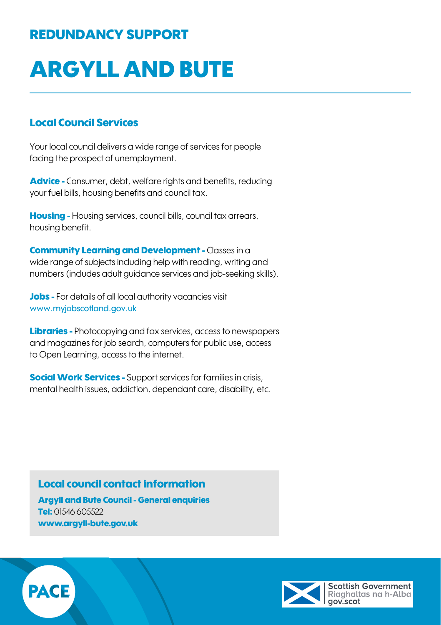## REDUNDANCY SUPPORT

# ARGYLL AND BUTE

### Local Council Services

Your local council delivers a wide range of services for people facing the prospect of unemployment.

Advice - Consumer, debt, welfare rights and benefits, reducing your fuel bills, housing benefits and council tax.

**Housing -** Housing services, council bills, council tax arrears, housing benefit.

Community Learning and Development - Classes in a wide range of subjects including help with reading, writing and numbers (includes adult guidance services and job-seeking skills).

Jobs - For details of all local authority vacancies visit [www.myjobscotland.gov.uk](http://www.myjobscotland.gov.uk)

Libraries - Photocopying and fax services, access to newspapers and magazines for job search, computers for public use, access to Open Learning, access to the internet.

**Social Work Services -** Support services for families in crisis, mental health issues, addiction, dependant care, disability, etc.

### Local council contact information

Argyll and Bute Council - General enquiries Tel: 01546 605522 www.argyll-bute.gov.uk